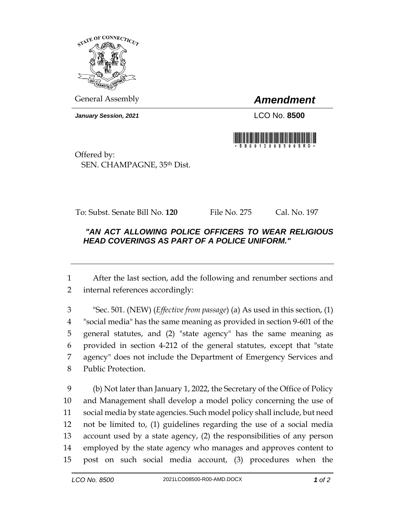

General Assembly *Amendment*

*January Session, 2021* LCO No. **8500**



Offered by: SEN. CHAMPAGNE, 35th Dist.

To: Subst. Senate Bill No. **120** File No. 275 Cal. No. 197

## *"AN ACT ALLOWING POLICE OFFICERS TO WEAR RELIGIOUS HEAD COVERINGS AS PART OF A POLICE UNIFORM."*

 After the last section, add the following and renumber sections and internal references accordingly:

 "Sec. 501. (NEW) (*Effective from passage*) (a) As used in this section, (1) "social media" has the same meaning as provided in section 9-601 of the general statutes, and (2) "state agency" has the same meaning as provided in section 4-212 of the general statutes, except that "state agency" does not include the Department of Emergency Services and Public Protection.

 (b) Not later than January 1, 2022, the Secretary of the Office of Policy and Management shall develop a model policy concerning the use of social media by state agencies. Such model policy shall include, but need not be limited to, (1) guidelines regarding the use of a social media account used by a state agency, (2) the responsibilities of any person employed by the state agency who manages and approves content to post on such social media account, (3) procedures when the